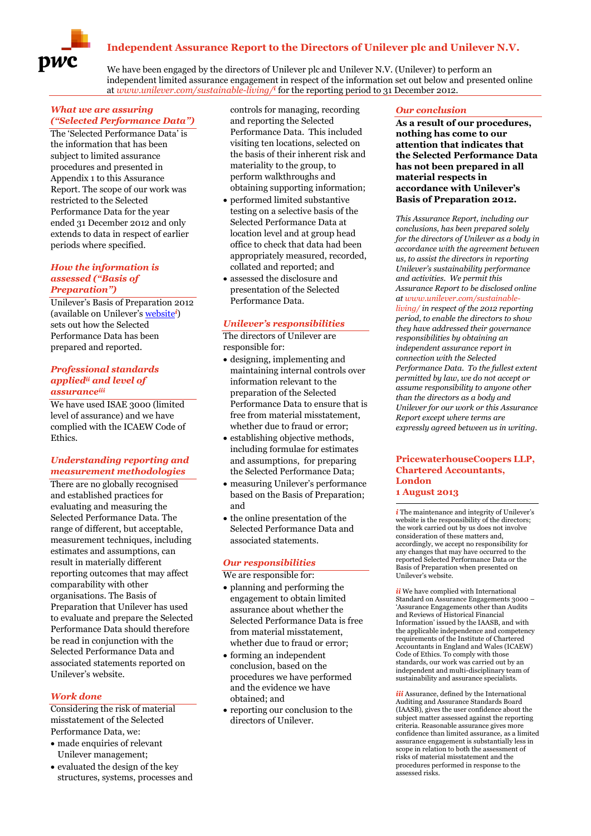# **Independent Assurance Report to the Directors of Unilever plc and Unilever N.V.**



We have been engaged by the directors of Unilever plc and Unilever N.V. (Unilever) to perform an independent limited assurance engagement in respect of the information set out below and presented online at *www.unilever.com/sustainable-living/ i* for the reporting period to 31 December 2012.

#### *What we are assuring ("Selected Performance Data")*

The 'Selected Performance Data' is the information that has been subject to limited assurance procedures and presented in Appendix 1 to this Assurance Report. The scope of our work was restricted to the Selected Performance Data for the year ended 31 December 2012 and only extends to data in respect of earlier periods where specified.

### *How the information is assessed ("Basis of Preparation")*

Unilever's Basis of Preparation 2012 (available on Unilever's [website](http://www.unilever.com/images/unilever_basis_of_preparation_2012_tcm13-366946.pdf)*<sup>i</sup>*) sets out how the Selected Performance Data has been prepared and reported.

#### *Professional standards appliedii and level of assuranceiii*

We have used ISAE 3000 (limited level of assurance) and we have complied with the ICAEW Code of Ethics.

## *Understanding reporting and measurement methodologies*

There are no globally recognised and established practices for evaluating and measuring the Selected Performance Data. The range of different, but acceptable, measurement techniques, including estimates and assumptions, can result in materially different reporting outcomes that may affect comparability with other organisations. The Basis of Preparation that Unilever has used to evaluate and prepare the Selected Performance Data should therefore be read in conjunction with the Selected Performance Data and associated statements reported on Unilever's website.

## *Work done*

Considering the risk of material misstatement of the Selected Performance Data, we:

- made enquiries of relevant Unilever management;
- $\bullet$  evaluated the design of the key structures, systems, processes and

controls for managing, recording and reporting the Selected Performance Data. This included visiting ten locations, selected on the basis of their inherent risk and materiality to the group, to perform walkthroughs and obtaining supporting information;

- performed limited substantive testing on a selective basis of the Selected Performance Data at location level and at group head office to check that data had been appropriately measured, recorded, collated and reported; and
- assessed the disclosure and presentation of the Selected Performance Data.

### *Unilever's responsibilities*

The directors of Unilever are responsible for:

- designing, implementing and maintaining internal controls over information relevant to the preparation of the Selected Performance Data to ensure that is free from material misstatement, whether due to fraud or error;
- establishing objective methods, including formulae for estimates and assumptions, for preparing the Selected Performance Data;
- measuring Unilever's performance based on the Basis of Preparation; and
- the online presentation of the Selected Performance Data and associated statements.

### *Our responsibilities*

We are responsible for:

- planning and performing the engagement to obtain limited assurance about whether the Selected Performance Data is free from material misstatement, whether due to fraud or error;
- forming an independent conclusion, based on the procedures we have performed and the evidence we have obtained; and
- reporting our conclusion to the directors of Unilever.

#### *Our conclusion*

**As a result of our procedures, nothing has come to our attention that indicates that the Selected Performance Data has not been prepared in all material respects in accordance with Unilever's Basis of Preparation 2012.**

*This Assurance Report, including our conclusions, has been prepared solely for the directors of Unilever as a body in accordance with the agreement between us, to assist the directors in reporting Unilever's sustainability performance and activities. We permit this Assurance Report to be disclosed online at www.unilever.com/sustainableliving/ in respect of the 2012 reporting period, to enable the directors to show they have addressed their governance responsibilities by obtaining an independent assurance report in connection with the Selected Performance Data. To the fullest extent permitted by law, we do not accept or assume responsibility to anyone other than the directors as a body and Unilever for our work or this Assurance Report except where terms are expressly agreed between us in writing.*

#### **PricewaterhouseCoopers LLP, Chartered Accountants, London 1 August 2013**

1 *i* The maintenance and integrity of Unilever's website is the responsibility of the directors; the work carried out by us does not involve consideration of these matters and, accordingly, we accept no responsibility for any changes that may have occurred to the reported Selected Performance Data or the Basis of Preparation when presented on Unilever's website.

*ii* We have complied with International Standard on Assurance Engagements 3000 – 'Assurance Engagements other than Audits and Reviews of Historical Financial Information' issued by the IAASB, and with the applicable independence and competency requirements of the Institute of Chartered Accountants in England and Wales (ICAEW) Code of Ethics. To comply with those standards, our work was carried out by an independent and multi-disciplinary team of sustainability and assurance specialists.

*iii* Assurance, defined by the International Auditing and Assurance Standards Board (IAASB), gives the user confidence about the subject matter assessed against the reporting criteria. Reasonable assurance gives more confidence than limited assurance, as a limited assurance engagement is substantially less in scope in relation to both the assessment of risks of material misstatement and the procedures performed in response to the assessed risks.